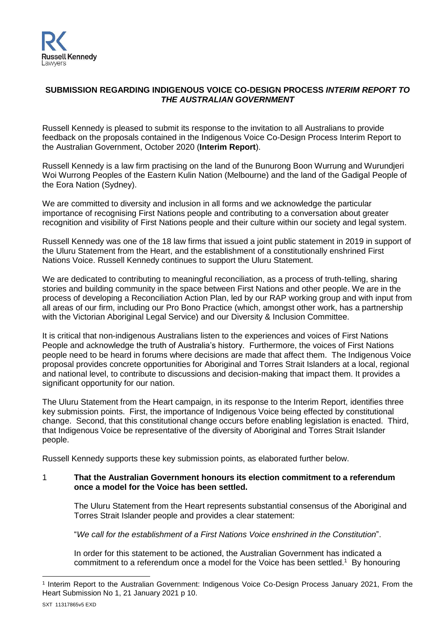

## **SUBMISSION REGARDING INDIGENOUS VOICE CO-DESIGN PROCESS** *INTERIM REPORT TO THE AUSTRALIAN GOVERNMENT*

Russell Kennedy is pleased to submit its response to the invitation to all Australians to provide feedback on the proposals contained in the Indigenous Voice Co-Design Process Interim Report to the Australian Government, October 2020 (**Interim Report**).

Russell Kennedy is a law firm practising on the land of the Bunurong Boon Wurrung and Wurundjeri Woi Wurrong Peoples of the Eastern Kulin Nation (Melbourne) and the land of the Gadigal People of the Eora Nation (Sydney).

We are committed to diversity and inclusion in all forms and we acknowledge the particular importance of recognising First Nations people and contributing to a conversation about greater recognition and visibility of First Nations people and their culture within our society and legal system.

Russell Kennedy was one of the 18 law firms that issued a joint public statement in 2019 in support of the Uluru Statement from the Heart, and the establishment of a constitutionally enshrined First Nations Voice. Russell Kennedy continues to support the Uluru Statement.

We are dedicated to contributing to meaningful reconciliation, as a process of truth-telling, sharing stories and building community in the space between First Nations and other people. We are in the process of developing a Reconciliation Action Plan, led by our RAP working group and with input from all areas of our firm, including our Pro Bono Practice (which, amongst other work, has a partnership with the Victorian Aboriginal Legal Service) and our Diversity & Inclusion Committee.

It is critical that non-indigenous Australians listen to the experiences and voices of First Nations People and acknowledge the truth of Australia's history. Furthermore, the voices of First Nations people need to be heard in forums where decisions are made that affect them. The Indigenous Voice proposal provides concrete opportunities for Aboriginal and Torres Strait Islanders at a local, regional and national level, to contribute to discussions and decision-making that impact them. It provides a significant opportunity for our nation.

The Uluru Statement from the Heart campaign, in its response to the Interim Report, identifies three key submission points. First, the importance of Indigenous Voice being effected by constitutional change. Second, that this constitutional change occurs before enabling legislation is enacted. Third, that Indigenous Voice be representative of the diversity of Aboriginal and Torres Strait Islander people.

Russell Kennedy supports these key submission points, as elaborated further below.

## 1 **That the Australian Government honours its election commitment to a referendum once a model for the Voice has been settled.**

The Uluru Statement from the Heart represents substantial consensus of the Aboriginal and Torres Strait Islander people and provides a clear statement:

"*We call for the establishment of a First Nations Voice enshrined in the Constitution*".

In order for this statement to be actioned, the Australian Government has indicated a commitment to a referendum once a model for the Voice has been settled.<sup>1</sup> By honouring

<sup>-</sup>1 Interim Report to the Australian Government: Indigenous Voice Co-Design Process January 2021, From the Heart Submission No 1, 21 January 2021 p 10.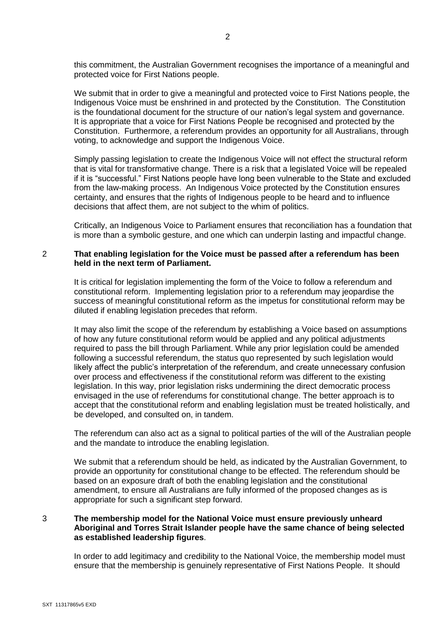this commitment, the Australian Government recognises the importance of a meaningful and protected voice for First Nations people.

We submit that in order to give a meaningful and protected voice to First Nations people, the Indigenous Voice must be enshrined in and protected by the Constitution. The Constitution is the foundational document for the structure of our nation's legal system and governance. It is appropriate that a voice for First Nations People be recognised and protected by the Constitution. Furthermore, a referendum provides an opportunity for all Australians, through voting, to acknowledge and support the Indigenous Voice.

Simply passing legislation to create the Indigenous Voice will not effect the structural reform that is vital for transformative change. There is a risk that a legislated Voice will be repealed if it is "successful." First Nations people have long been vulnerable to the State and excluded from the law-making process. An Indigenous Voice protected by the Constitution ensures certainty, and ensures that the rights of Indigenous people to be heard and to influence decisions that affect them, are not subject to the whim of politics.

Critically, an Indigenous Voice to Parliament ensures that reconciliation has a foundation that is more than a symbolic gesture, and one which can underpin lasting and impactful change.

## 2 **That enabling legislation for the Voice must be passed after a referendum has been held in the next term of Parliament.**

It is critical for legislation implementing the form of the Voice to follow a referendum and constitutional reform. Implementing legislation prior to a referendum may jeopardise the success of meaningful constitutional reform as the impetus for constitutional reform may be diluted if enabling legislation precedes that reform.

It may also limit the scope of the referendum by establishing a Voice based on assumptions of how any future constitutional reform would be applied and any political adjustments required to pass the bill through Parliament. While any prior legislation could be amended following a successful referendum, the status quo represented by such legislation would likely affect the public's interpretation of the referendum, and create unnecessary confusion over process and effectiveness if the constitutional reform was different to the existing legislation. In this way, prior legislation risks undermining the direct democratic process envisaged in the use of referendums for constitutional change. The better approach is to accept that the constitutional reform and enabling legislation must be treated holistically, and be developed, and consulted on, in tandem.

The referendum can also act as a signal to political parties of the will of the Australian people and the mandate to introduce the enabling legislation.

We submit that a referendum should be held, as indicated by the Australian Government, to provide an opportunity for constitutional change to be effected. The referendum should be based on an exposure draft of both the enabling legislation and the constitutional amendment, to ensure all Australians are fully informed of the proposed changes as is appropriate for such a significant step forward.

## 3 **The membership model for the National Voice must ensure previously unheard Aboriginal and Torres Strait Islander people have the same chance of being selected as established leadership figures**.

In order to add legitimacy and credibility to the National Voice, the membership model must ensure that the membership is genuinely representative of First Nations People. It should